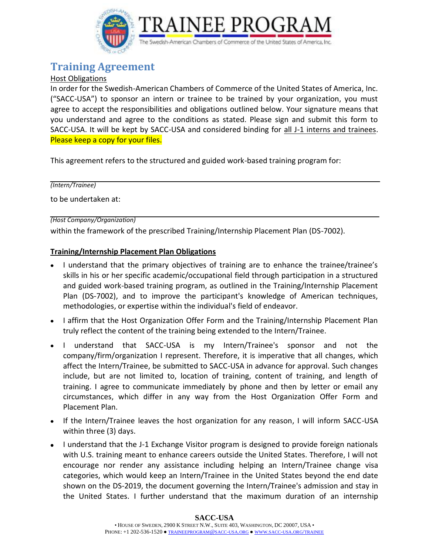

# **Training Agreement**

### Host Obligations

In order for the Swedish-American Chambers of Commerce of the United States of America, Inc. ("SACC-USA") to sponsor an intern or trainee to be trained by your organization, you must agree to accept the responsibilities and obligations outlined below. Your signature means that you understand and agree to the conditions as stated. Please sign and submit this form to SACC-USA. It will be kept by SACC-USA and considered binding for all J-1 interns and trainees. Please keep a copy for your files.

This agreement refers to the structured and guided work-based training program for:

*(Intern/Trainee)*

to be undertaken at:

*(Host Company/Organization)*

within the framework of the prescribed Training/Internship Placement Plan (DS-7002).

#### **Training/Internship Placement Plan Obligations**

- I understand that the primary objectives of training are to enhance the trainee/trainee's skills in his or her specific academic/occupational field through participation in a structured and guided work-based training program, as outlined in the Training/Internship Placement Plan (DS-7002), and to improve the participant's knowledge of American techniques, methodologies, or expertise within the individual's field of endeavor.
- I affirm that the Host Organization Offer Form and the Training/Internship Placement Plan truly reflect the content of the training being extended to the Intern/Trainee.
- I understand that SACC-USA is my Intern/Trainee's sponsor and not the company/firm/organization I represent. Therefore, it is imperative that all changes, which affect the Intern/Trainee, be submitted to SACC-USA in advance for approval. Such changes include, but are not limited to, location of training, content of training, and length of training. I agree to communicate immediately by phone and then by letter or email any circumstances, which differ in any way from the Host Organization Offer Form and Placement Plan.
- If the Intern/Trainee leaves the host organization for any reason, I will inform SACC-USA within three (3) days.
- I understand that the J-1 Exchange Visitor program is designed to provide foreign nationals with U.S. training meant to enhance careers outside the United States. Therefore, I will not encourage nor render any assistance including helping an Intern/Trainee change visa categories, which would keep an Intern/Trainee in the United States beyond the end date shown on the DS-2019, the document governing the Intern/Trainee's admission and stay in the United States. I further understand that the maximum duration of an internship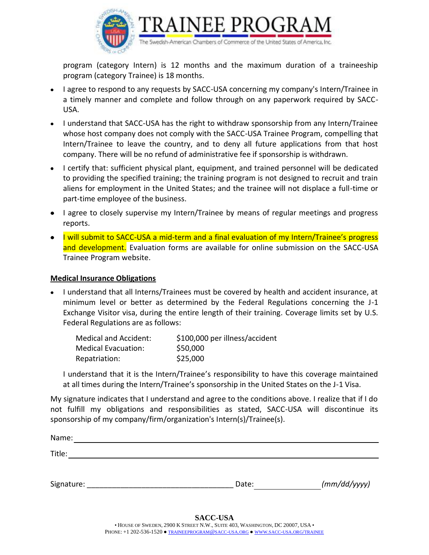

program (category Intern) is 12 months and the maximum duration of a traineeship program (category Trainee) is 18 months.

- I agree to respond to any requests by SACC-USA concerning my company's Intern/Trainee in a timely manner and complete and follow through on any paperwork required by SACC-USA.
- I understand that SACC-USA has the right to withdraw sponsorship from any Intern/Trainee whose host company does not comply with the SACC-USA Trainee Program, compelling that Intern/Trainee to leave the country, and to deny all future applications from that host company. There will be no refund of administrative fee if sponsorship is withdrawn.
- I certify that: sufficient physical plant, equipment, and trained personnel will be dedicated to providing the specified training; the training program is not designed to recruit and train aliens for employment in the United States; and the trainee will not displace a full-time or part-time employee of the business.
- I agree to closely supervise my Intern/Trainee by means of regular meetings and progress reports.
- I will submit to SACC-USA a mid-term and a final evaluation of my Intern/Trainee's progress and development. Evaluation forms are available for online submission on the SACC-USA Trainee Program website.

#### **Medical Insurance Obligations**

• I understand that all Interns/Trainees must be covered by health and accident insurance, at minimum level or better as determined by the Federal Regulations concerning the J-1 Exchange Visitor visa, during the entire length of their training. Coverage limits set by U.S. Federal Regulations are as follows:

| Medical and Accident: | \$100,000 per illness/accident |
|-----------------------|--------------------------------|
| Medical Evacuation:   | \$50,000                       |
| Repatriation:         | \$25,000                       |

I understand that it is the Intern/Trainee's responsibility to have this coverage maintained at all times during the Intern/Trainee's sponsorship in the United States on the J-1 Visa.

My signature indicates that I understand and agree to the conditions above. I realize that if I do not fulfill my obligations and responsibilities as stated, SACC-USA will discontinue its sponsorship of my company/firm/organization's Intern(s)/Trainee(s).

Name: Title: Signature:  $\begin{array}{ccc} \text{Signature:} & \text{Of} & \text{Of} \end{array}$